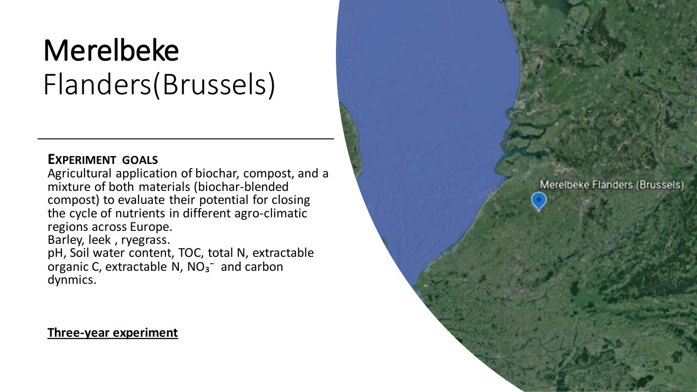# Merelbeke Flanders(Brussels)

#### **EXPERIMENT GOALS**

Agricultural application of biochar, compost, and a mixture of both materials (biochar-blended compost) to evaluate their potential for closing the cycle of nutrients in different agro-climatic regions across Europe. Barley, leek , ryegrass. pH, Soil water content, TOC, total N, extractable organic C, extractable N,  $NO<sub>3</sub><sup>-</sup>$  and carbon dynmics.

# **Three-year experiment**

Merelbeke Flanders (Brussels)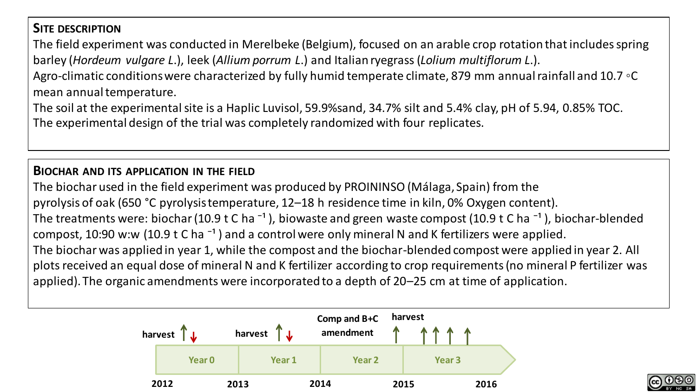# **SITE DESCRIPTION**

The field experiment was conducted in Merelbeke (Belgium), focused on an arable crop rotation that includes spring barley (*Hordeum vulgare L*.), leek (*Allium porrum L*.) and Italian ryegrass (*Lolium multiflorum L*.).

Agro-climatic conditions were characterized by fully humid temperate climate, 879 mm annual rainfall and 10.7 ◦C mean annual temperature.

The soil at the experimental site is a Haplic Luvisol, 59.9%sand, 34.7% silt and 5.4% clay, pH of 5.94, 0.85% TOC. The experimental design of the trial was completely randomized with four replicates.

#### **BIOCHAR AND ITS APPLICATION IN THE FIELD**

The biochar used in the field experiment was produced by PROININSO (Málaga, Spain) from the pyrolysis of oak (650 °C pyrolysis temperature, 12–18 h residence time in kiln, 0% Oxygen content). The treatments were: biochar (10.9 t C ha<sup>-1</sup>), biowaste and green waste compost (10.9 t C ha<sup>-1</sup>), biochar-blended compost, 10:90 w:w (10.9 t C ha<sup>-1</sup>) and a control were only mineral N and K fertilizers were applied. The biochar was applied in year 1, while the compost and the biochar-blended compost were applied in year 2. All plots received an equal dose of mineral N and K fertilizer according to crop requirements (no mineral P fertilizer was applied). The organic amendments were incorporated to a depth of 20–25 cm at time of application.



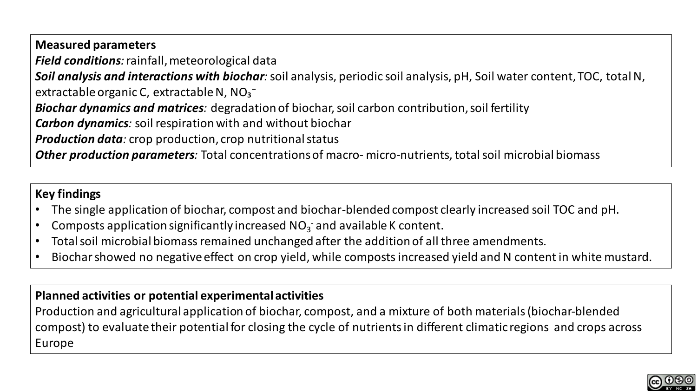**Measured parameters**

*Field conditions:* rainfall, meteorological data

*Soil analysis and interactions with biochar:* soil analysis, periodic soil analysis, pH, Soil water content, TOC, total N, extractable organic C, extractable N,  $NO<sub>3</sub><sup>-</sup>$ 

*Biochar dynamics and matrices:* degradation of biochar, soil carbon contribution, soil fertility

*Carbon dynamics:* soil respiration with and without biochar

*Production data:* crop production, crop nutritional status

*Other production parameters:* Total concentrations of macro- micro-nutrients, total soil microbial biomass

#### **Key findings**

- The single application of biochar, compost and biochar-blended compost clearly increased soil TOC and pH.
- Composts application significantly increased  $NO<sub>3</sub>$  and available K content.
- Total soil microbial biomass remained unchanged after the addition of all three amendments.
- Biochar showed no negative effect on crop yield, while composts increased yield and N content in white mustard.

# **Planned activities or potential experimental activities**

Production and agricultural application of biochar, compost, and a mixture of both materials (biochar-blended compost) to evaluate their potential for closing the cycle of nutrients in different climatic regions and crops across Europe